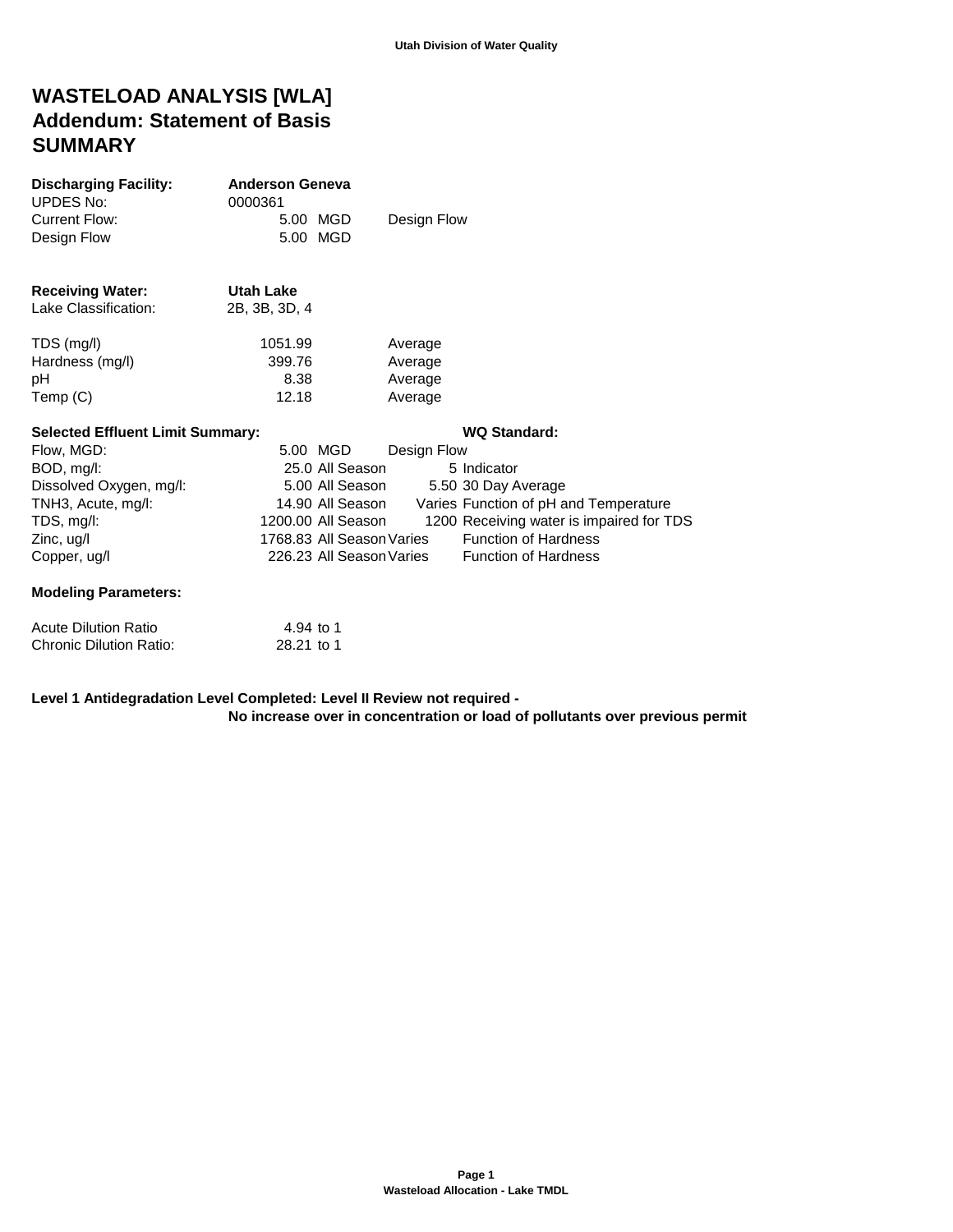# **WASTELOAD ANALYSIS [WLA] Addendum: Statement of Basis SUMMARY**

| <b>Discharging Facility:</b><br><b>UPDES No:</b> | <b>Anderson Geneva</b><br>0000361 |                           |             |                                          |
|--------------------------------------------------|-----------------------------------|---------------------------|-------------|------------------------------------------|
| <b>Current Flow:</b>                             |                                   | 5.00 MGD                  | Design Flow |                                          |
| Design Flow                                      |                                   | 5.00 MGD                  |             |                                          |
| <b>Receiving Water:</b>                          | <b>Utah Lake</b>                  |                           |             |                                          |
| Lake Classification:                             | 2B, 3B, 3D, 4                     |                           |             |                                          |
| TDS (mg/l)                                       | 1051.99                           |                           | Average     |                                          |
| Hardness (mg/l)                                  | 399.76                            |                           | Average     |                                          |
| рH                                               | 8.38                              |                           | Average     |                                          |
| Temp (C)                                         | 12.18                             |                           | Average     |                                          |
| <b>Selected Effluent Limit Summary:</b>          |                                   |                           |             | <b>WQ Standard:</b>                      |
| Flow, MGD:                                       |                                   | 5.00 MGD                  | Design Flow |                                          |
| BOD, mg/l:                                       |                                   | 25.0 All Season           |             | 5 Indicator                              |
| Dissolved Oxygen, mg/l:                          |                                   | 5.00 All Season           |             | 5.50 30 Day Average                      |
| TNH3, Acute, mg/l:                               |                                   | 14.90 All Season          |             | Varies Function of pH and Temperature    |
| TDS, mg/l:                                       |                                   | 1200.00 All Season        |             | 1200 Receiving water is impaired for TDS |
| Zinc, ug/l                                       |                                   | 1768.83 All Season Varies |             | <b>Function of Hardness</b>              |
| Copper, ug/l                                     |                                   | 226.23 All Season Varies  |             | <b>Function of Hardness</b>              |
| <b>Modeling Parameters:</b>                      |                                   |                           |             |                                          |
| <b>Acute Dilution Ratio</b>                      | 4.94 to 1                         |                           |             |                                          |
| <b>Chronic Dilution Ratio:</b>                   | 28.21 to 1                        |                           |             |                                          |

**Level 1 Antidegradation Level Completed: Level II Review not required - No increase over in concentration or load of pollutants over previous permit**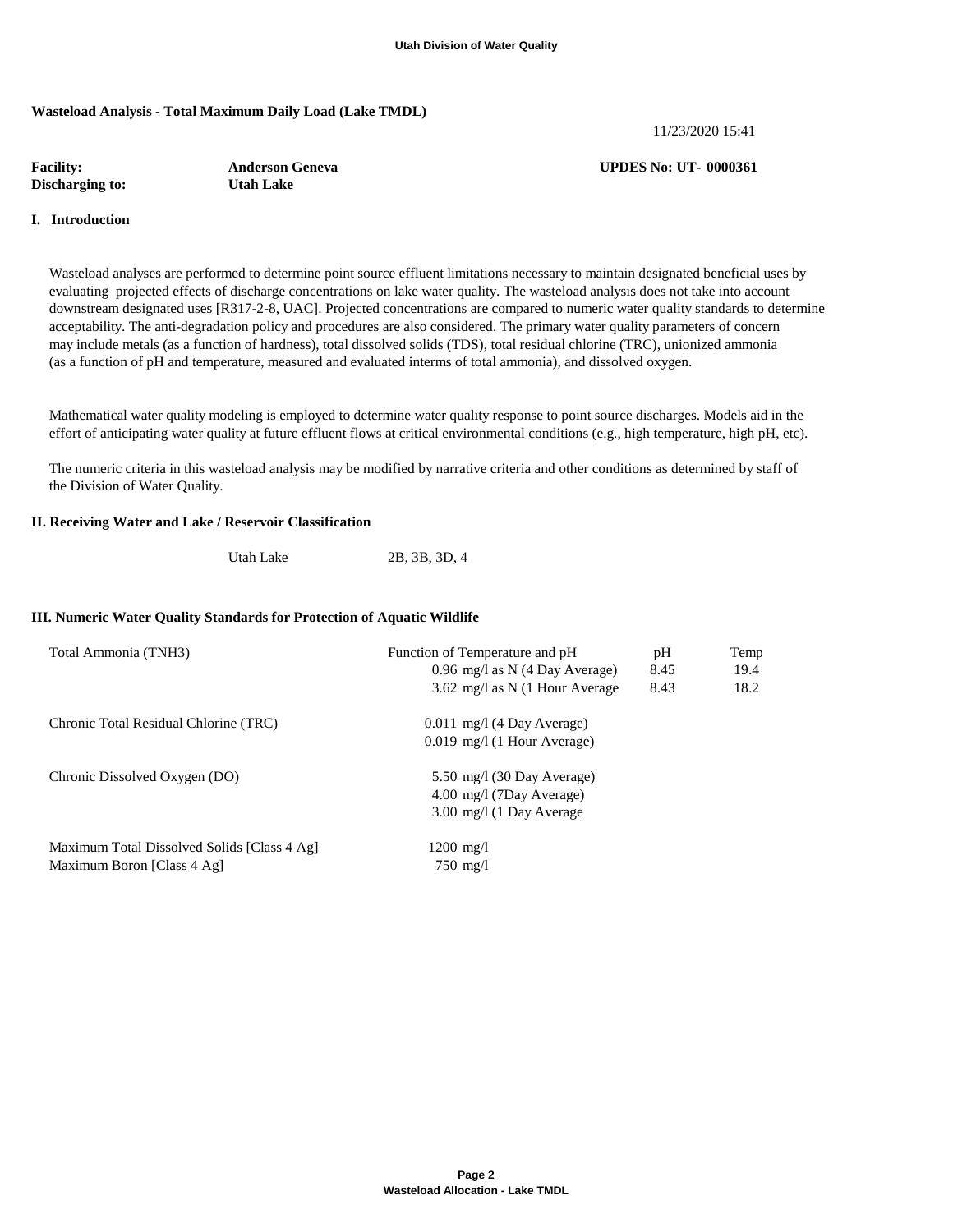### **Wasteload Analysis - Total Maximum Daily Load (Lake TMDL)**

11/23/2020 15:41

| <b>Facility:</b> | <b>Anderson Geneva</b> | <b>UPDES No: UT-0000361</b> |
|------------------|------------------------|-----------------------------|
| Discharging to:  | <b>Utah Lake</b>       |                             |

#### **I. Introduction**

 Wasteload analyses are performed to determine point source effluent limitations necessary to maintain designated beneficial uses by evaluating projected effects of discharge concentrations on lake water quality. The wasteload analysis does not take into account downstream designated uses [R317-2-8, UAC]. Projected concentrations are compared to numeric water quality standards to determine acceptability. The anti-degradation policy and procedures are also considered. The primary water quality parameters of concern may include metals (as a function of hardness), total dissolved solids (TDS), total residual chlorine (TRC), unionized ammonia (as a function of pH and temperature, measured and evaluated interms of total ammonia), and dissolved oxygen.

 Mathematical water quality modeling is employed to determine water quality response to point source discharges. Models aid in the effort of anticipating water quality at future effluent flows at critical environmental conditions (e.g., high temperature, high pH, etc).

 The numeric criteria in this wasteload analysis may be modified by narrative criteria and other conditions as determined by staff of the Division of Water Quality.

#### **II. Receiving Water and Lake / Reservoir Classification**

| 2B, 3B, 3D, 4 |
|---------------|
|               |

#### **III. Numeric Water Quality Standards for Protection of Aquatic Wildlife**

| Total Ammonia (TNH3)                                                      | Function of Temperature and pH<br>0.96 mg/l as N $(4$ Day Average)<br>3.62 mg/l as N $(1$ Hour Average | pH<br>8.45<br>8.43 | Temp<br>19.4<br>18.2 |
|---------------------------------------------------------------------------|--------------------------------------------------------------------------------------------------------|--------------------|----------------------|
| Chronic Total Residual Chlorine (TRC)                                     | $0.011$ mg/l (4 Day Average)<br>$0.019$ mg/l (1 Hour Average)                                          |                    |                      |
| Chronic Dissolved Oxygen (DO)                                             | 5.50 mg/l $(30 \text{ Dav Average})$<br>4.00 mg/l (7Day Average)<br>3.00 mg/l (1 Day Average           |                    |                      |
| Maximum Total Dissolved Solids [Class 4 Ag]<br>Maximum Boron [Class 4 Ag] | 1200 mg/l<br>$750 \text{ mg}/1$                                                                        |                    |                      |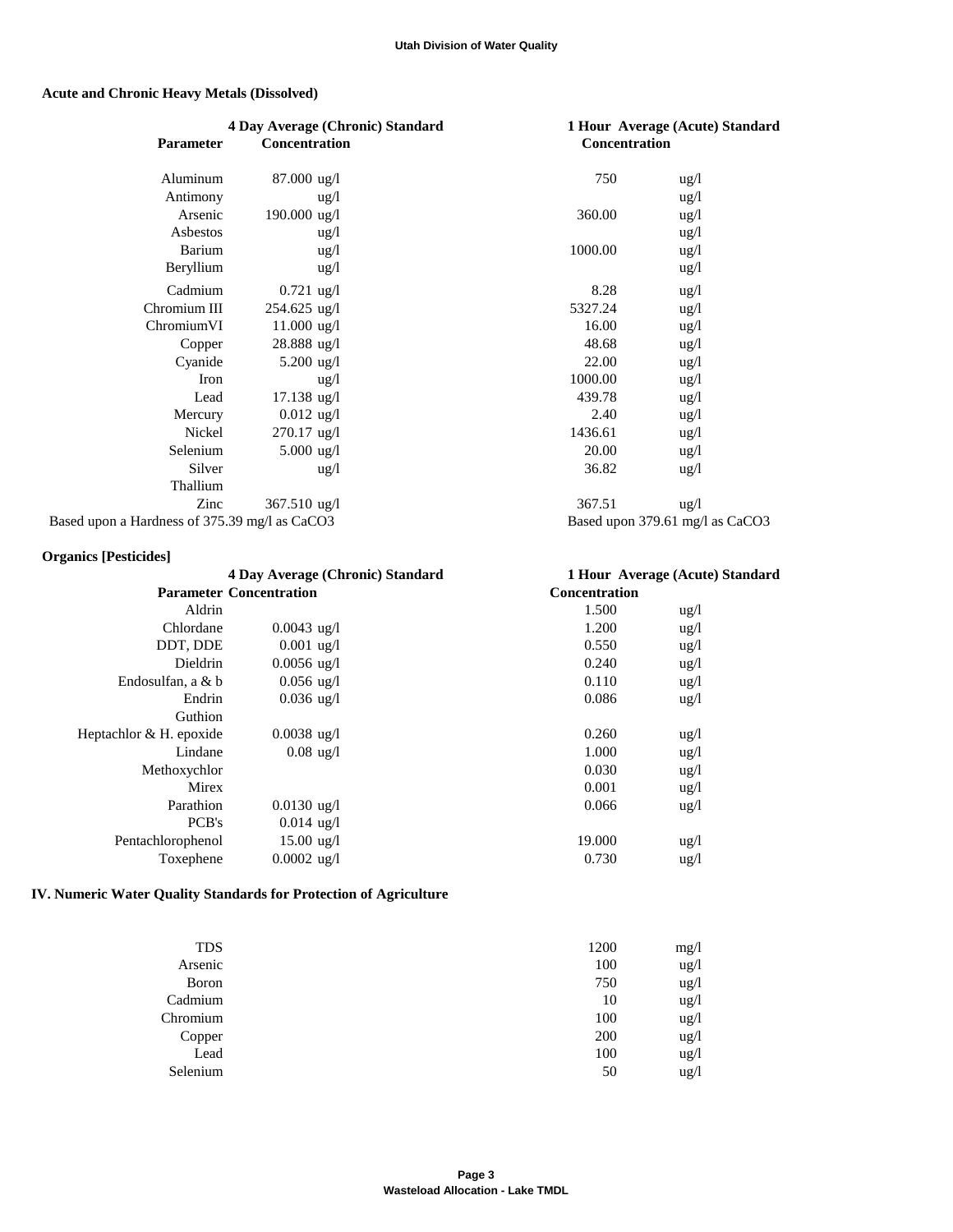# **Acute and Chronic Heavy Metals (Dissolved)**

|                                               | 4 Day Average (Chronic) Standard |               | 1 Hour Average (Acute) Standard |
|-----------------------------------------------|----------------------------------|---------------|---------------------------------|
| <b>Parameter</b>                              | <b>Concentration</b>             | Concentration |                                 |
| Aluminum                                      | 87.000 ug/l                      | 750           | $\frac{u g}{l}$                 |
| Antimony                                      | $\frac{u g}{l}$                  |               | ug/l                            |
| Arsenic                                       | $190.000 \text{ ug}/1$           | 360.00        | ug/l                            |
| Asbestos                                      | $\frac{u g}{l}$                  |               | ug/l                            |
| Barium                                        | ug/l                             | 1000.00       | ug/l                            |
| Beryllium                                     | $\frac{u g}{l}$                  |               | ug/l                            |
| Cadmium                                       | $0.721$ ug/l                     | 8.28          | ug/l                            |
| Chromium III                                  | $254.625$ ug/l                   | 5327.24       | ug/l                            |
| ChromiumVI                                    | $11.000$ ug/l                    | 16.00         | ug/l                            |
| Copper                                        | 28.888 ug/l                      | 48.68         | ug/l                            |
| Cyanide                                       | 5.200 $\mu$ g/l                  | 22.00         | ug/l                            |
| Iron                                          | ug/l                             | 1000.00       | ug/l                            |
| Lead                                          | 17.138 ug/l                      | 439.78        | ug/l                            |
| Mercury                                       | $0.012$ ug/l                     | 2.40          | ug/l                            |
| Nickel                                        | $270.17$ ug/l                    | 1436.61       | ug/l                            |
| Selenium                                      | 5.000 $\mu$ g/l                  | 20.00         | ug/l                            |
| Silver                                        | $\frac{u g}{l}$                  | 36.82         | ug/l                            |
| Thallium                                      |                                  |               |                                 |
| Zinc                                          | $367.510 \text{ ug}/l$           | 367.51        | $\frac{u g}{l}$                 |
| Based upon a Hardness of 375.39 mg/l as CaCO3 |                                  |               | Based upon 379.61 mg/l as CaCO3 |
| Organics [Posticidos]                         |                                  |               |                                 |

|  | <b>Organics [Pesticides]</b> |
|--|------------------------------|
|--|------------------------------|

|                         | 4 Day Average (Chronic) Standard |                      | 1 Hour Average (Acute) Standard |
|-------------------------|----------------------------------|----------------------|---------------------------------|
|                         | <b>Parameter Concentration</b>   | <b>Concentration</b> |                                 |
| Aldrin                  |                                  | 1.500                | $\frac{u g}{l}$                 |
| Chlordane               | $0.0043$ ug/l                    | 1.200                | $\frac{u g}{l}$                 |
| DDT, DDE                | $0.001 \text{ ug}/1$             | 0.550                | ug/l                            |
| Dieldrin                | $0.0056$ ug/l                    | 0.240                | $\frac{u g}{l}$                 |
| Endosulfan, a & b       | $0.056$ ug/l                     | 0.110                | $\frac{u g}{l}$                 |
| Endrin                  | $0.036 \text{ ug}/1$             | 0.086                | $\frac{u g}{l}$                 |
| Guthion                 |                                  |                      |                                 |
| Heptachlor & H. epoxide | $0.0038$ ug/l                    | 0.260                | $\frac{u g}{l}$                 |
| Lindane                 | $0.08 \text{ ug}/1$              | 1.000                | ug/l                            |
| Methoxychlor            |                                  | 0.030                | ug/l                            |
| Mirex                   |                                  | 0.001                | $\frac{u g}{l}$                 |
| Parathion               | $0.0130 \text{ ug}/1$            | 0.066                | ug/l                            |
| PCB's                   | $0.014 \text{ ug}/1$             |                      |                                 |
| Pentachlorophenol       | $15.00 \text{ ug}/1$             | 19.000               | ug/l                            |
| Toxephene               | $0.0002 \text{ ug}/l$            | 0.730                | $\frac{u g}{l}$                 |
|                         |                                  |                      |                                 |

# **IV. Numeric Water Quality Standards for Protection of Agriculture**

| <b>TDS</b> | 1200 | mg/1            |
|------------|------|-----------------|
| Arsenic    | 100  | ug/l            |
| Boron      | 750  | ug/l            |
| Cadmium    | 10   | ug/l            |
| Chromium   | 100  | ug/l            |
| Copper     | 200  | ug/l            |
| Lead       | 100  | ug/l            |
| Selenium   | 50   | $\frac{u g}{l}$ |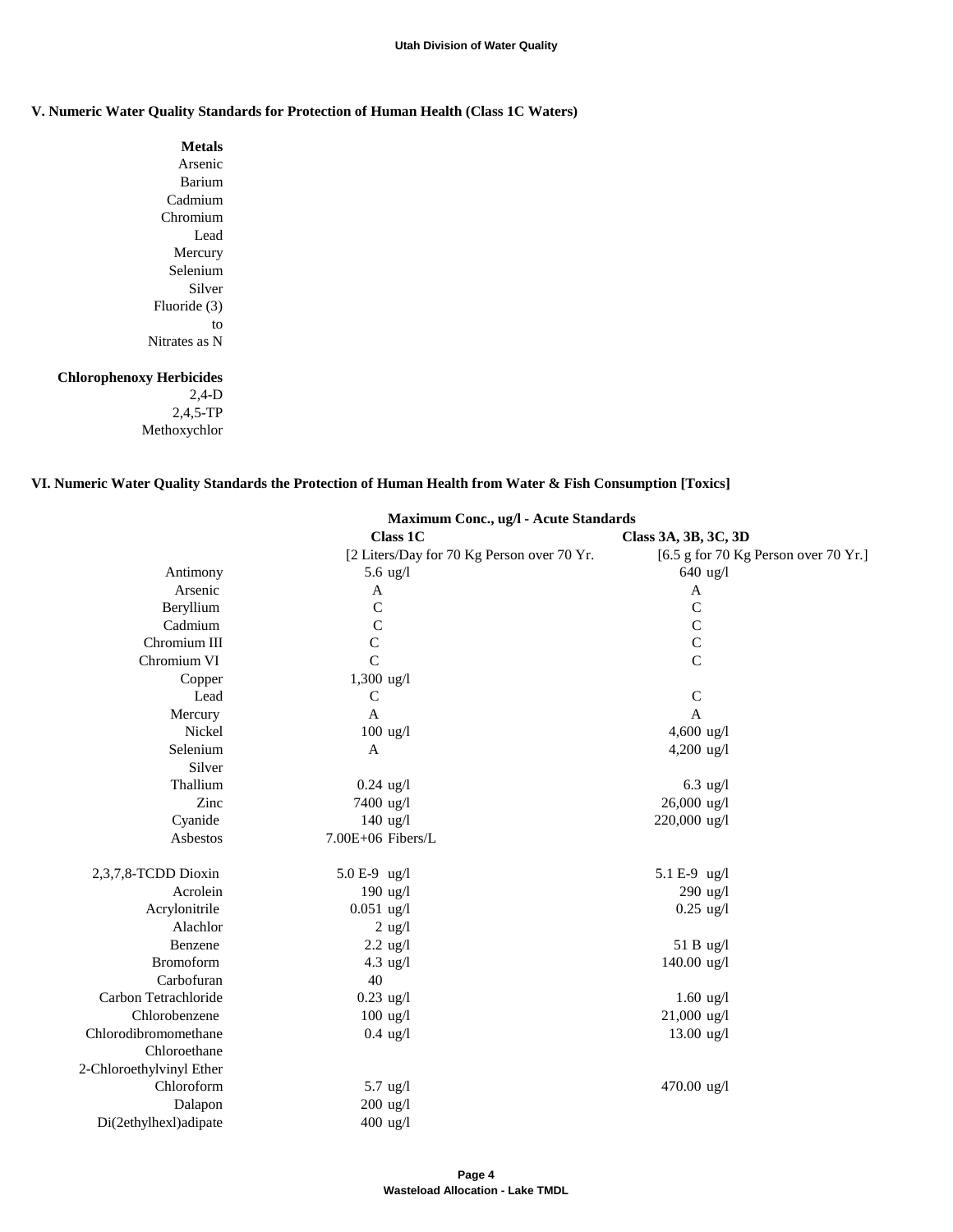#### **Utah Division of Water Quality**

## **V. Numeric Water Quality Standards for Protection of Human Health (Class 1C Waters)**

**Metals** Arsenic Barium Cadmium Chromium Lead Mercury Selenium Silver Fluoride (3) to Nitrates as N

## **Chlorophenoxy Herbicides**

2,4-D 2,4,5-TP Methoxychlor

### **VI. Numeric Water Quality Standards the Protection of Human Health from Water & Fish Consumption [Toxics]**

|                          | Maximum Conc., ug/l - Acute Standards      |                                      |  |
|--------------------------|--------------------------------------------|--------------------------------------|--|
|                          | <b>Class 1C</b>                            | Class 3A, 3B, 3C, 3D                 |  |
|                          | [2 Liters/Day for 70 Kg Person over 70 Yr. | [6.5 g for 70 Kg Person over 70 Yr.] |  |
| Antimony                 | $5.6 \text{ ug}/l$                         | $640$ ug/l                           |  |
| Arsenic                  | A                                          | A                                    |  |
| Beryllium                | $\mathbf C$                                | $\mathsf C$                          |  |
| Cadmium                  | $\mathbf C$                                | $\mathbf C$                          |  |
| Chromium III             | $\mathbf C$                                | $\mathbf C$                          |  |
| Chromium VI              | $\overline{C}$                             | $\overline{C}$                       |  |
| Copper                   | $1,300$ ug/l                               |                                      |  |
| Lead                     | $\mathsf{C}$                               | $\mathsf C$                          |  |
| Mercury                  | $\mathbf{A}$                               | $\mathbf{A}$                         |  |
| Nickel                   | $100$ ug/l                                 | 4,600 ug/l                           |  |
| Selenium                 | $\mathbf{A}$                               | $4,200 \text{ ug}/1$                 |  |
| Silver                   |                                            |                                      |  |
| Thallium                 | $0.24$ ug/l                                | $6.3$ ug/l                           |  |
| Zinc                     | 7400 ug/l                                  | 26,000 ug/l                          |  |
| Cyanide                  | $140$ ug/l                                 | 220,000 ug/l                         |  |
| Asbestos                 | 7.00E+06 Fibers/L                          |                                      |  |
| 2,3,7,8-TCDD Dioxin      | 5.0 E-9 ug/l                               | 5.1 E-9 ug/l                         |  |
| Acrolein                 | $190$ ug/l                                 | 290 ug/l                             |  |
| Acrylonitrile            | $0.051$ ug/l                               | $0.25 \text{ ug}/l$                  |  |
| Alachlor                 | $2$ ug/l                                   |                                      |  |
| Benzene                  | $2.2$ ug/l                                 | 51 B ug/l                            |  |
| <b>Bromoform</b>         | $4.3$ ug/l                                 | 140.00 ug/l                          |  |
| Carbofuran               | 40                                         |                                      |  |
| Carbon Tetrachloride     | $0.23$ ug/l                                | $1.60$ ug/l                          |  |
| Chlorobenzene            | $100$ ug/l                                 | 21,000 ug/l                          |  |
| Chlorodibromomethane     | $0.4 \text{ ug}/l$                         | $13.00 \text{ ug}/1$                 |  |
| Chloroethane             |                                            |                                      |  |
| 2-Chloroethylvinyl Ether |                                            |                                      |  |
| Chloroform               | $5.7$ ug/l                                 | 470.00 ug/l                          |  |
| Dalapon                  | $200$ ug/l                                 |                                      |  |
| Di(2ethylhexl)adipate    | 400 ug/l                                   |                                      |  |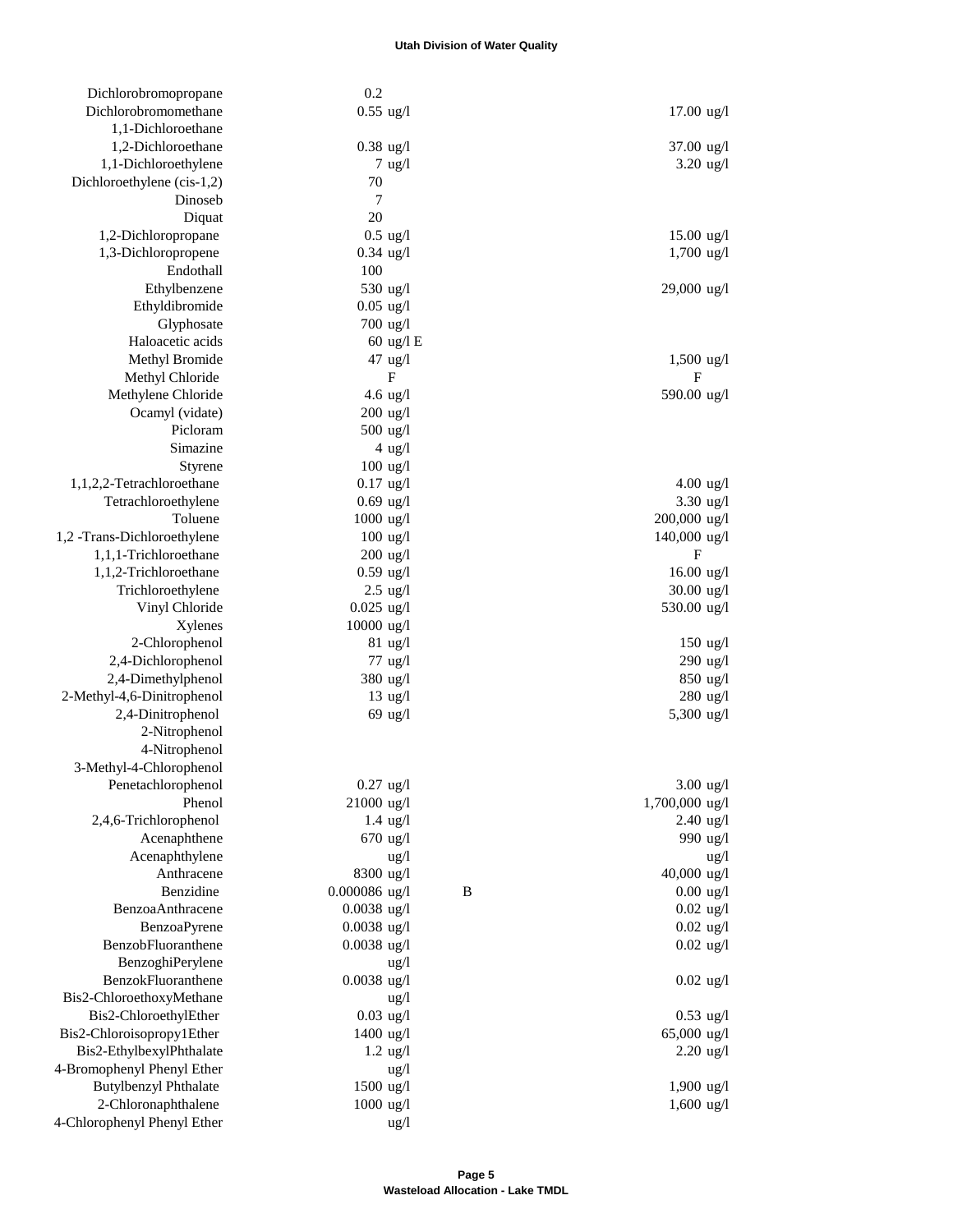#### **Utah Division of Water Quality**

| Dichlorobromopropane                        | 0.2                |                 |                      |
|---------------------------------------------|--------------------|-----------------|----------------------|
| Dichlorobromomethane                        | $0.55$ ug/l        |                 | $17.00$ ug/l         |
| 1,1-Dichloroethane                          |                    |                 |                      |
| 1,2-Dichloroethane                          | $0.38$ ug/l        |                 | 37.00 ug/l           |
| 1,1-Dichloroethylene                        |                    | $7$ ug/l        | $3.20$ ug/l          |
| Dichloroethylene (cis-1,2)                  | 70                 |                 |                      |
| Dinoseb                                     | $\overline{7}$     |                 |                      |
| Diquat                                      | 20                 |                 |                      |
| 1,2-Dichloropropane                         | $0.5 \text{ ug}/l$ |                 | $15.00 \text{ ug}/1$ |
| 1,3-Dichloropropene                         | $0.34$ ug/l        |                 | $1,700$ ug/l         |
| Endothall                                   | 100                |                 |                      |
| Ethylbenzene                                | 530 ug/l           |                 | 29,000 ug/l          |
| Ethyldibromide                              | $0.05$ ug/l        |                 |                      |
| Glyphosate                                  | $700$ ug/l         |                 |                      |
| Haloacetic acids                            |                    | 60 ug/l E       |                      |
| Methyl Bromide                              | 47 ug/l            |                 | $1,500$ ug/l         |
| Methyl Chloride                             |                    | F               | F                    |
| Methylene Chloride                          | 4.6 $\frac{ug}{l}$ |                 | 590.00 ug/l          |
| Ocamyl (vidate)<br>Picloram                 | $200$ ug/l         |                 |                      |
| Simazine                                    | $500$ ug/l         |                 |                      |
|                                             | $100$ ug/l         | $4$ ug/l        |                      |
| <b>Styrene</b><br>1,1,2,2-Tetrachloroethane | $0.17$ ug/l        |                 | $4.00$ ug/l          |
| Tetrachloroethylene                         | $0.69$ ug/l        |                 | 3.30 ug/l            |
| Toluene                                     | $1000$ ug/l        |                 | 200,000 ug/l         |
| 1,2 -Trans-Dichloroethylene                 | $100$ ug/l         |                 | 140,000 ug/l         |
| 1,1,1-Trichloroethane                       | $200$ ug/l         |                 | F                    |
| 1,1,2-Trichloroethane                       | $0.59$ ug/l        |                 | 16.00 ug/l           |
| Trichloroethylene                           | $2.5 \text{ ug}/l$ |                 | $30.00 \text{ ug}/1$ |
| Vinyl Chloride                              | $0.025$ ug/l       |                 | 530.00 ug/l          |
| Xylenes                                     | $10000$ ug/l       |                 |                      |
| 2-Chlorophenol                              | $81$ ug/l          |                 | $150$ ug/l           |
| 2,4-Dichlorophenol                          | $77$ ug/l          |                 | $290$ ug/l           |
| 2,4-Dimethylphenol                          | 380 ug/l           |                 | 850 ug/l             |
| 2-Methyl-4,6-Dinitrophenol                  | $13 \text{ ug}/l$  |                 | $280$ ug/l           |
| 2,4-Dinitrophenol                           | $69$ ug/l          |                 | 5,300 ug/l           |
| 2-Nitrophenol                               |                    |                 |                      |
| 4-Nitrophenol                               |                    |                 |                      |
| 3-Methyl-4-Chlorophenol                     |                    |                 |                      |
| Penetachlorophenol                          | $0.27$ ug/l        |                 | $3.00$ ug/l          |
| Phenol                                      | 21000 ug/l         |                 | 1,700,000 ug/l       |
| 2,4,6-Trichlorophenol                       | $1.4 \text{ ug}/l$ |                 | $2.40$ ug/l          |
| Acenaphthene                                | $670$ ug/l         |                 | 990 ug/l             |
| Acenaphthylene                              |                    | ug/l            | ug/l                 |
| Anthracene                                  | 8300 ug/l          |                 | 40,000 ug/l          |
| Benzidine                                   | $0.000086$ ug/l    | $\bf{B}$        | $0.00$ ug/l          |
| BenzoaAnthracene                            | $0.0038$ ug/l      |                 | $0.02$ ug/l          |
| BenzoaPyrene                                | $0.0038$ ug/l      |                 | $0.02$ ug/l          |
| BenzobFluoranthene                          | $0.0038$ ug/l      |                 | $0.02$ ug/l          |
| BenzoghiPerylene                            |                    | $\frac{u g}{l}$ |                      |
| BenzokFluoranthene                          | $0.0038$ ug/l      |                 | $0.02$ ug/l          |
| Bis2-ChloroethoxyMethane                    |                    | ug/l            |                      |
| Bis2-ChloroethylEther                       | $0.03$ ug/l        |                 | $0.53$ ug/l          |
| Bis2-Chloroisopropy1Ether                   | $1400$ ug/l        |                 | 65,000 ug/l          |
| Bis2-EthylbexylPhthalate                    | $1.2 \text{ ug}/l$ |                 | $2.20$ ug/l          |
| 4-Bromophenyl Phenyl Ether                  |                    | ug/l            |                      |
| <b>Butylbenzyl Phthalate</b>                | $1500$ ug/l        |                 | $1,900$ ug/l         |
| 2-Chloronaphthalene                         | $1000$ ug/l        |                 | $1,600$ ug/l         |
| 4-Chlorophenyl Phenyl Ether                 |                    | ug/l            |                      |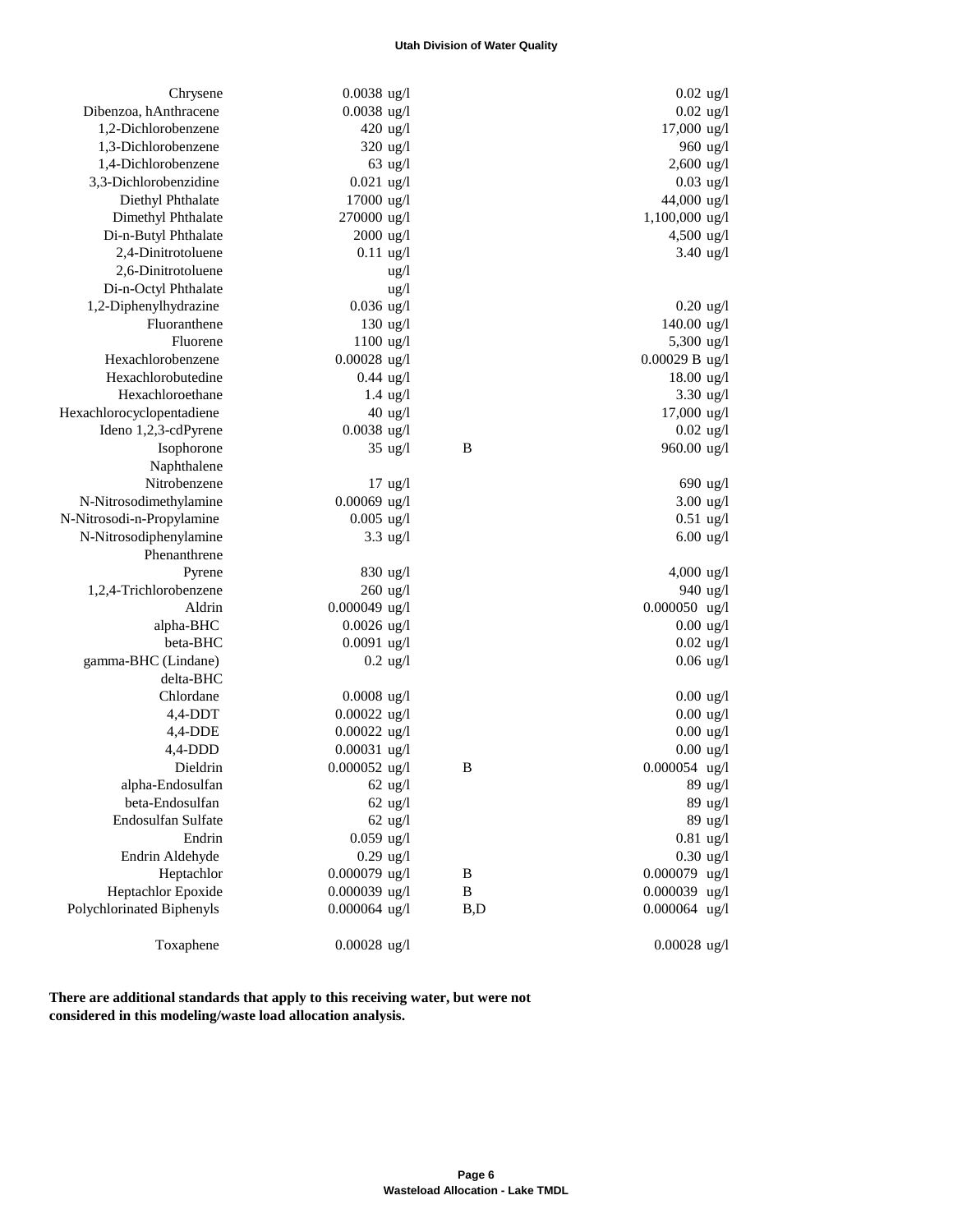#### **Utah Division of Water Quality**

| Chrysene                  | $0.0038$ ug/l       |              | $0.02$ ug/l          |
|---------------------------|---------------------|--------------|----------------------|
| Dibenzoa, hAnthracene     | $0.0038$ ug/l       |              | $0.02$ ug/l          |
| 1,2-Dichlorobenzene       | 420 ug/l            |              | 17,000 ug/l          |
| 1,3-Dichlorobenzene       | $320$ ug/l          |              | 960 ug/l             |
| 1,4-Dichlorobenzene       | $63$ ug/l           |              | 2,600 ug/l           |
| 3,3-Dichlorobenzidine     | $0.021$ ug/l        |              | $0.03$ ug/l          |
| Diethyl Phthalate         | 17000 ug/l          |              | 44,000 ug/l          |
| Dimethyl Phthalate        | 270000 ug/l         |              | 1,100,000 ug/l       |
| Di-n-Butyl Phthalate      | $2000 \text{ ug}/1$ |              | 4,500 ug/l           |
| 2,4-Dinitrotoluene        | $0.11$ ug/l         |              | $3.40 \text{ ug}/1$  |
| 2,6-Dinitrotoluene        | $\frac{u g}{l}$     |              |                      |
| Di-n-Octyl Phthalate      | ug/l                |              |                      |
| 1,2-Diphenylhydrazine     | $0.036$ ug/l        |              | $0.20$ ug/l          |
| Fluoranthene              | $130$ ug/l          |              | 140.00 ug/l          |
| Fluorene                  | $1100$ ug/l         |              | 5,300 ug/l           |
| Hexachlorobenzene         | $0.00028$ ug/l      |              | 0.00029 B ug/l       |
| Hexachlorobutedine        | $0.44$ ug/l         |              | $18.00 \text{ ug}/1$ |
| Hexachloroethane          | $1.4 \text{ ug}/l$  |              | $3.30$ ug/l          |
| Hexachlorocyclopentadiene | $40$ ug/l           |              | 17,000 ug/l          |
| Ideno 1,2,3-cdPyrene      | $0.0038$ ug/l       |              | $0.02$ ug/l          |
| Isophorone                | $35 \text{ ug}/l$   | B            | 960.00 ug/l          |
| Naphthalene               |                     |              |                      |
| Nitrobenzene              | $17$ ug/l           |              | 690 ug/l             |
| N-Nitrosodimethylamine    | $0.00069$ ug/l      |              | $3.00$ ug/l          |
| N-Nitrosodi-n-Propylamine | $0.005$ ug/l        |              | $0.51$ ug/l          |
| N-Nitrosodiphenylamine    | $3.3 \text{ ug}/l$  |              | $6.00$ ug/l          |
| Phenanthrene              |                     |              |                      |
| Pyrene                    | 830 ug/l            |              | 4,000 ug/l           |
| 1,2,4-Trichlorobenzene    | $260$ ug/l          |              | 940 ug/l             |
| Aldrin                    | $0.000049$ ug/l     |              | $0.000050$ ug/l      |
| alpha-BHC                 | $0.0026$ ug/l       |              | $0.00 \text{ ug}/l$  |
| beta-BHC                  | $0.0091$ ug/l       |              | $0.02$ ug/l          |
| gamma-BHC (Lindane)       | $0.2$ ug/l          |              | $0.06$ ug/l          |
| delta-BHC                 |                     |              |                      |
| Chlordane                 | $0.0008$ ug/l       |              | $0.00$ ug/l          |
| $4,4$ -DDT                | $0.00022$ ug/l      |              | $0.00 \text{ ug}$ /l |
| $4,4$ -DDE                | $0.00022$ ug/l      |              | $0.00$ ug/l          |
| $4,4$ -DDD                | $0.00031$ ug/l      |              | $0.00$ ug/l          |
| Dieldrin                  | $0.000052$ ug/l     | B            | $0.000054$ ug/l      |
| alpha-Endosulfan          | $62$ ug/l           |              | 89 ug/l              |
| beta-Endosulfan           | $62$ ug/l           |              | 89 ug/l              |
| Endosulfan Sulfate        | $62$ ug/l           |              | 89 ug/l              |
| Endrin                    | $0.059$ ug/l        |              | $0.81$ ug/l          |
| Endrin Aldehyde           | $0.29$ ug/l         |              | $0.30$ ug/l          |
| Heptachlor                | $0.000079$ ug/l     | $\, {\bf B}$ | $0.000079$ ug/l      |
| Heptachlor Epoxide        | $0.000039$ ug/l     | B            | $0.000039$ ug/l      |
| Polychlorinated Biphenyls | $0.000064$ ug/l     | B,D          | $0.000064$ ug/l      |
| Toxaphene                 | $0.00028$ ug/l      |              | $0.00028$ ug/l       |

 **There are additional standards that apply to this receiving water, but were not considered in this modeling/waste load allocation analysis.**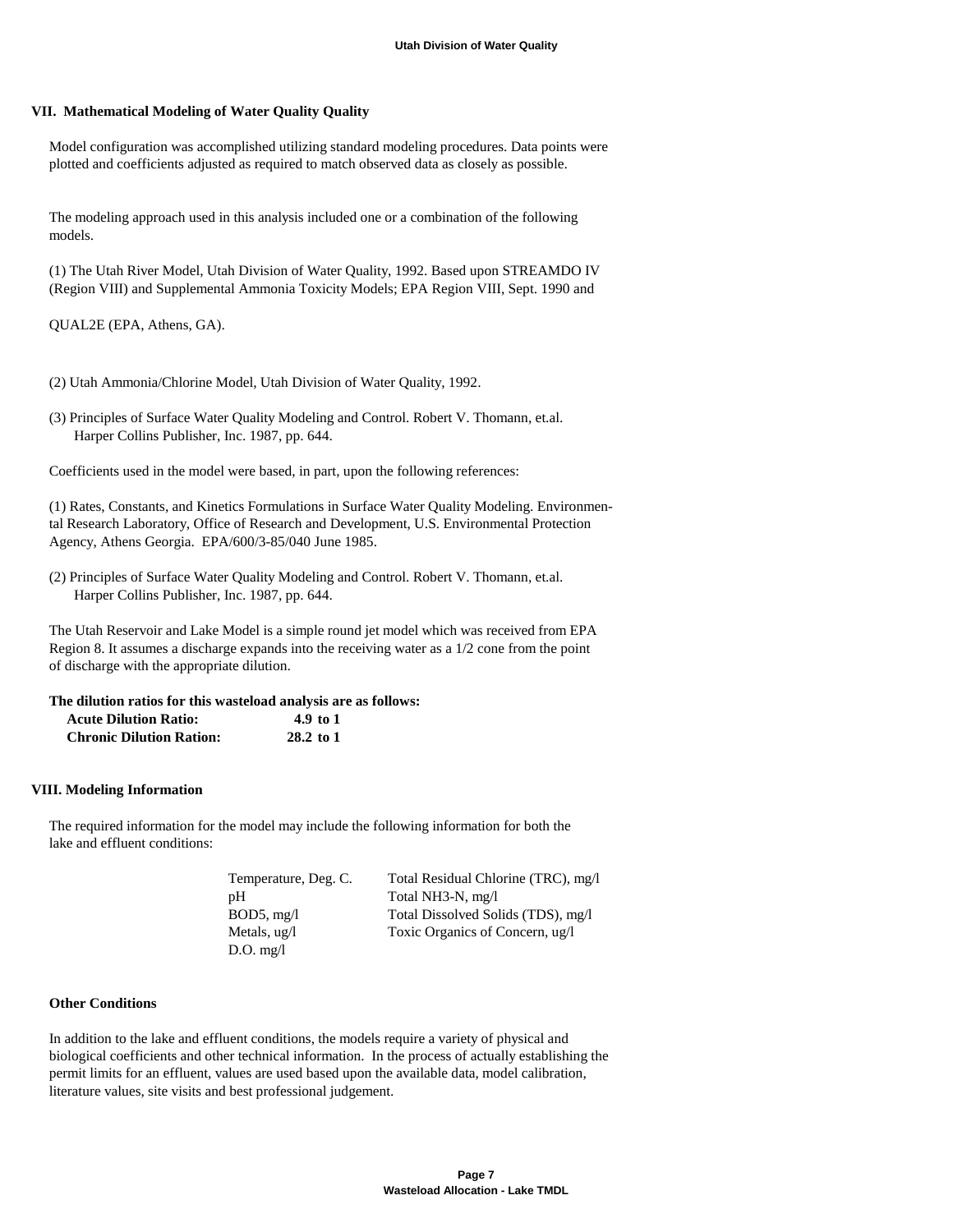#### **VII. Mathematical Modeling of Water Quality Quality**

 Model configuration was accomplished utilizing standard modeling procedures. Data points were plotted and coefficients adjusted as required to match observed data as closely as possible.

 The modeling approach used in this analysis included one or a combination of the following models.

 (1) The Utah River Model, Utah Division of Water Quality, 1992. Based upon STREAMDO IV (Region VIII) and Supplemental Ammonia Toxicity Models; EPA Region VIII, Sept. 1990 and

QUAL2E (EPA, Athens, GA).

- (2) Utah Ammonia/Chlorine Model, Utah Division of Water Quality, 1992.
- (3) Principles of Surface Water Quality Modeling and Control. Robert V. Thomann, et.al. Harper Collins Publisher, Inc. 1987, pp. 644.

Coefficients used in the model were based, in part, upon the following references:

 (1) Rates, Constants, and Kinetics Formulations in Surface Water Quality Modeling. Environmen tal Research Laboratory, Office of Research and Development, U.S. Environmental Protection Agency, Athens Georgia. EPA/600/3-85/040 June 1985.

 (2) Principles of Surface Water Quality Modeling and Control. Robert V. Thomann, et.al. Harper Collins Publisher, Inc. 1987, pp. 644.

 The Utah Reservoir and Lake Model is a simple round jet model which was received from EPA Region 8. It assumes a discharge expands into the receiving water as a 1/2 cone from the point of discharge with the appropriate dilution.

#### **The dilution ratios for this wasteload analysis are as follows:**

| <b>Acute Dilution Ratio:</b>    | 4.9 to 1  |
|---------------------------------|-----------|
| <b>Chronic Dilution Ration:</b> | 28.2 to 1 |

#### **VIII. Modeling Information**

 The required information for the model may include the following information for both the lake and effluent conditions:

| Temperature, Deg. C. | Total Residual Chlorine (TRC), mg/l |
|----------------------|-------------------------------------|
| pН                   | Total NH3-N, mg/l                   |
| $BOD5$ , mg/l        | Total Dissolved Solids (TDS), mg/l  |
| Metals, ug/l         | Toxic Organics of Concern, ug/l     |
| $D.O.$ mg/l          |                                     |

## **Other Conditions**

 In addition to the lake and effluent conditions, the models require a variety of physical and biological coefficients and other technical information. In the process of actually establishing the permit limits for an effluent, values are used based upon the available data, model calibration, literature values, site visits and best professional judgement.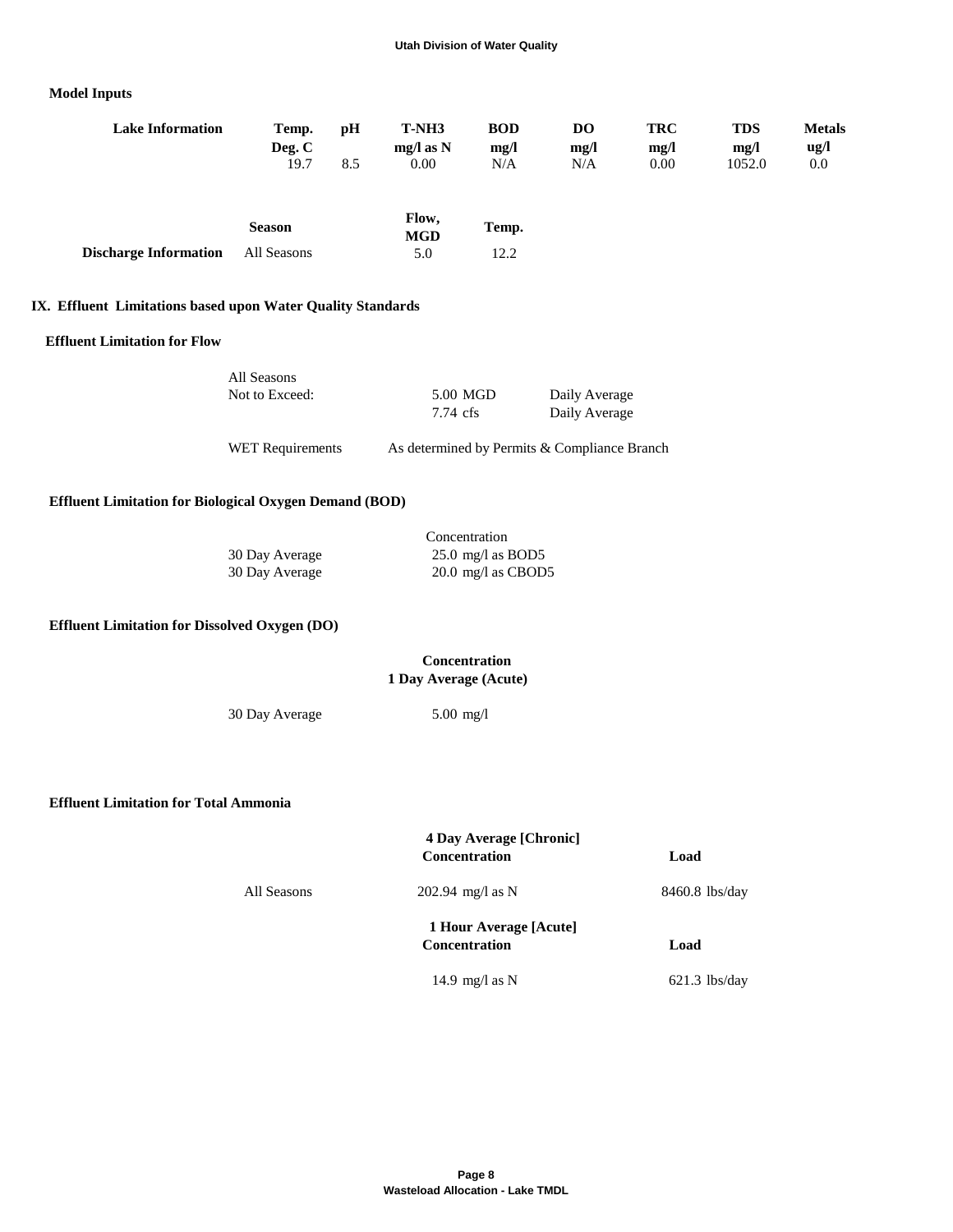## **Model Inputs**

| <b>Lake Information</b>      | Temp.<br>Deg. C | рH  | T-NH3<br>$mg/l$ as N | <b>BOD</b><br>mg/l | DO<br>mg/l | <b>TRC</b><br>mg/l | <b>TDS</b><br>mg/l | <b>Metals</b><br>ug/l |
|------------------------------|-----------------|-----|----------------------|--------------------|------------|--------------------|--------------------|-----------------------|
|                              | 19.7            | 8.5 | 0.00                 | N/A                | N/A        | 0.00               | 1052.0             | 0.0                   |
|                              | <b>Season</b>   |     | Flow,<br><b>MGD</b>  | Temp.              |            |                    |                    |                       |
| <b>Discharge Information</b> | All Seasons     |     | 5.0                  | 12.2               |            |                    |                    |                       |

## **IX. Effluent Limitations based upon Water Quality Standards**

#### **Effluent Limitation for Flow**

| All Seasons             |          |                                              |
|-------------------------|----------|----------------------------------------------|
| Not to Exceed:          | 5.00 MGD | Daily Average                                |
|                         | 7.74 cfs | Daily Average                                |
| <b>WET Requirements</b> |          | As determined by Permits & Compliance Branch |

## **Effluent Limitation for Biological Oxygen Demand (BOD)**

|                | Concentration               |
|----------------|-----------------------------|
| 30 Day Average | $25.0 \text{ mg/l}$ as BOD5 |
| 30 Day Average | $20.0$ mg/l as CBOD5        |

# **Effluent Limitation for Dissolved Oxygen (DO)**

| <b>Concentration</b>  |
|-----------------------|
| 1 Day Average (Acute) |

30 Day Average 5.00 mg/l

 **Effluent Limitation for Total Ammonia**

|             | <b>4 Day Average [Chronic]</b><br><b>Concentration</b> | Load             |
|-------------|--------------------------------------------------------|------------------|
| All Seasons | 202.94 mg/l as N                                       | $8460.8$ lbs/day |
|             | 1 Hour Average [Acute]<br><b>Concentration</b>         | Load             |
|             | 14.9 mg/l as $N$                                       | $621.3$ lbs/day  |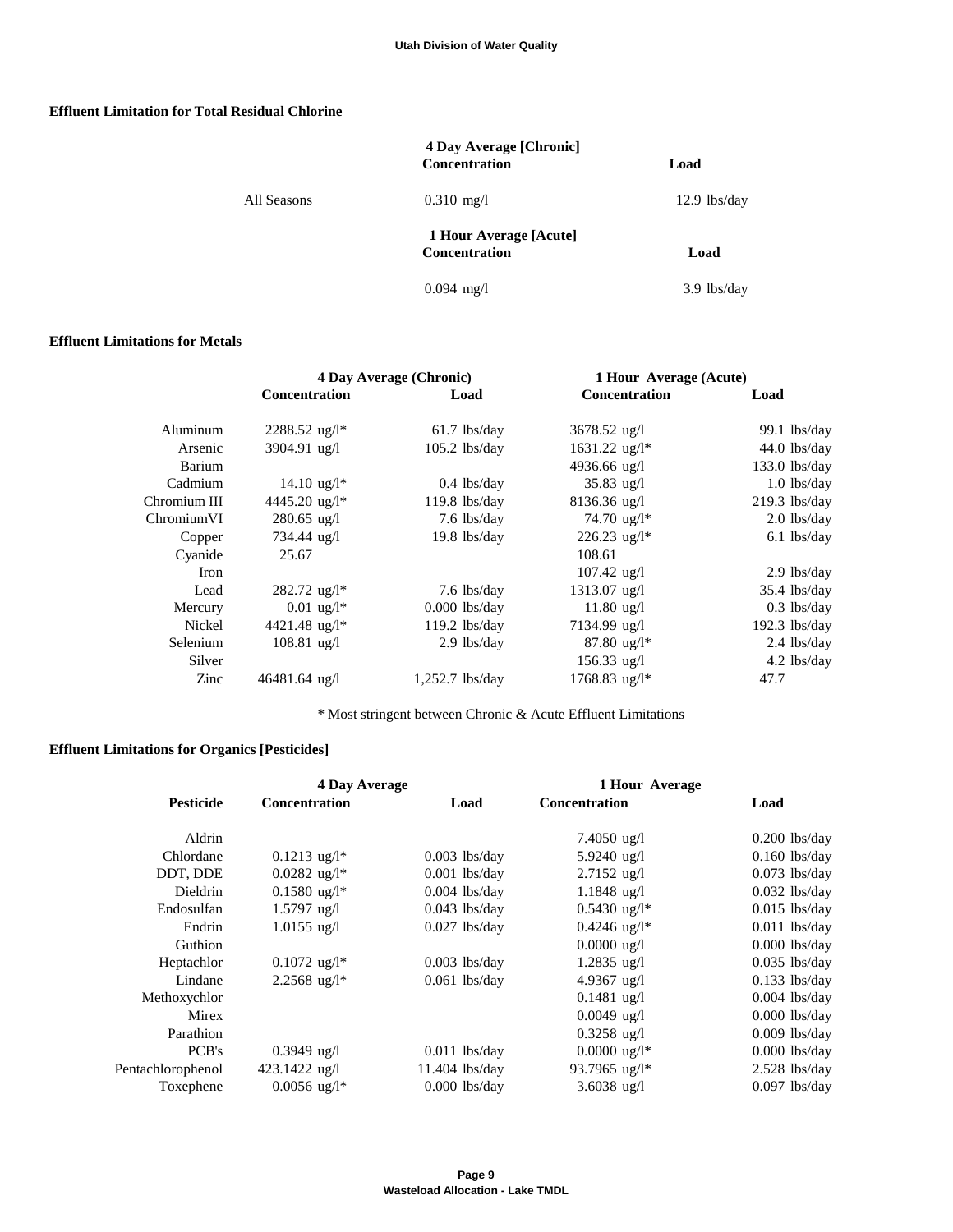## **Effluent Limitation for Total Residual Chlorine**

|             | 4 Day Average [Chronic]<br><b>Concentration</b> | Load           |
|-------------|-------------------------------------------------|----------------|
| All Seasons | $0.310$ mg/l                                    | $12.9$ lbs/day |
|             | 1 Hour Average [Acute]<br><b>Concentration</b>  | Load           |
|             | $0.094$ mg/l                                    | $3.9$ lbs/day  |

#### **Effluent Limitations for Metals**

|              | 4 Day Average (Chronic)  |                   | 1 Hour Average (Acute)      |                 |
|--------------|--------------------------|-------------------|-----------------------------|-----------------|
|              | <b>Concentration</b>     | Load              | <b>Concentration</b>        | Load            |
| Aluminum     | $2288.52 \text{ ug}/l^*$ | $61.7$ lbs/day    | $3678.52 \text{ ug}/l$      | $99.1$ lbs/day  |
| Arsenic      | 3904.91 ug/l             | $105.2$ lbs/day   | $1631.22 \text{ ug}/l^*$    | $44.0$ lbs/day  |
| Barium       |                          |                   | 4936.66 ug/l                | $133.0$ lbs/day |
| Cadmium      | $14.10 \text{ ug}/l^*$   | $0.4$ lbs/day     | $35.83$ ug/l                | $1.0$ lbs/day   |
| Chromium III | 4445.20 ug/l*            | $119.8$ lbs/day   | $8136.36 \text{ ug}/l$      | $219.3$ lbs/day |
| ChromiumVI   | $280.65$ ug/l            | $7.6$ lbs/day     | 74.70 $\mu$ g/l*            | $2.0$ lbs/day   |
| Copper       | 734.44 ug/l              | $19.8$ lbs/day    | $226.23 \text{ ug}/l^*$     | $6.1$ lbs/day   |
| Cyanide      | 25.67                    |                   | 108.61                      |                 |
| <b>Iron</b>  |                          |                   | $107.42 \text{ ug}/l$       | $2.9$ lbs/day   |
| Lead         | $282.72 \text{ ug}/l^*$  | $7.6$ lbs/day     | $1313.07$ ug/l              | $35.4$ lbs/day  |
| Mercury      | $0.01 \text{ ug}/l^*$    | $0.000$ lbs/day   | $11.80 \text{ ug}/1$        | $0.3$ lbs/day   |
| Nickel       | 4421.48 ug/l*            | $119.2$ lbs/day   | 7134.99 ug/l                | $192.3$ lbs/day |
| Selenium     | $108.81$ ug/l            | $2.9$ lbs/day     | $87.80 \text{ ug}/l^*$      | 2.4 lbs/day     |
| Silver       |                          |                   | $156.33$ ug/l               | $4.2$ lbs/day   |
| Zinc         | 46481.64 ug/l            | $1,252.7$ lbs/day | $1768.83$ ug/l <sup>*</sup> | 47.7            |

\* Most stringent between Chronic & Acute Effluent Limitations

# **Effluent Limitations for Organics [Pesticides]**

|                   | 4 Day Average              |                  | 1 Hour Average             |                 |
|-------------------|----------------------------|------------------|----------------------------|-----------------|
| <b>Pesticide</b>  | <b>Concentration</b>       | Load             | <b>Concentration</b>       | Load            |
| Aldrin            |                            |                  | $7.4050 \text{ ug}/l$      | $0.200$ lbs/day |
| Chlordane         | $0.1213 \text{ ug}/l^*$    | $0.003$ lbs/day  | 5.9240 ug/l                | $0.160$ lbs/day |
| DDT, DDE          | $0.0282$ ug/l <sup>*</sup> | $0.001$ lbs/day  | $2.7152$ ug/l              | $0.073$ lbs/day |
| <b>Dieldrin</b>   | $0.1580 \text{ ug}/l^*$    | $0.004$ lbs/day  | $1.1848$ ug/l              | $0.032$ lbs/day |
| Endosulfan        | $1.5797$ ug/l              | $0.043$ lbs/day  | $0.5430 \text{ ug}/l^*$    | $0.015$ lbs/day |
| Endrin            | $1.0155$ ug/l              | $0.027$ lbs/day  | $0.4246$ ug/l <sup>*</sup> | $0.011$ lbs/day |
| Guthion           |                            |                  | $0.0000 \text{ ug}/1$      | $0.000$ lbs/day |
| Heptachlor        | $0.1072 \text{ ug}/l^*$    | $0.003$ lbs/day  | $1.2835$ ug/l              | $0.035$ lbs/day |
| Lindane           | $2.2568$ ug/l <sup>*</sup> | $0.061$ lbs/day  | 4.9367 $\mu$ g/l           | $0.133$ lbs/day |
| Methoxychlor      |                            |                  | $0.1481$ ug/l              | $0.004$ lbs/day |
| Mirex             |                            |                  | $0.0049$ ug/l              | $0.000$ lbs/day |
| Parathion         |                            |                  | $0.3258$ ug/l              | $0.009$ lbs/day |
| PCB's             | $0.3949$ ug/l              | $0.011$ lbs/day  | $0.0000 \text{ ug}/l^*$    | $0.000$ lbs/day |
| Pentachlorophenol | 423.1422 ug/l              | $11.404$ lbs/day | 93.7965 ug/l*              | $2.528$ lbs/day |
| Toxephene         | $0.0056 \text{ ug}/l^*$    | $0.000$ lbs/day  | 3.6038 $\mu$ g/l           | $0.097$ lbs/day |
|                   |                            |                  |                            |                 |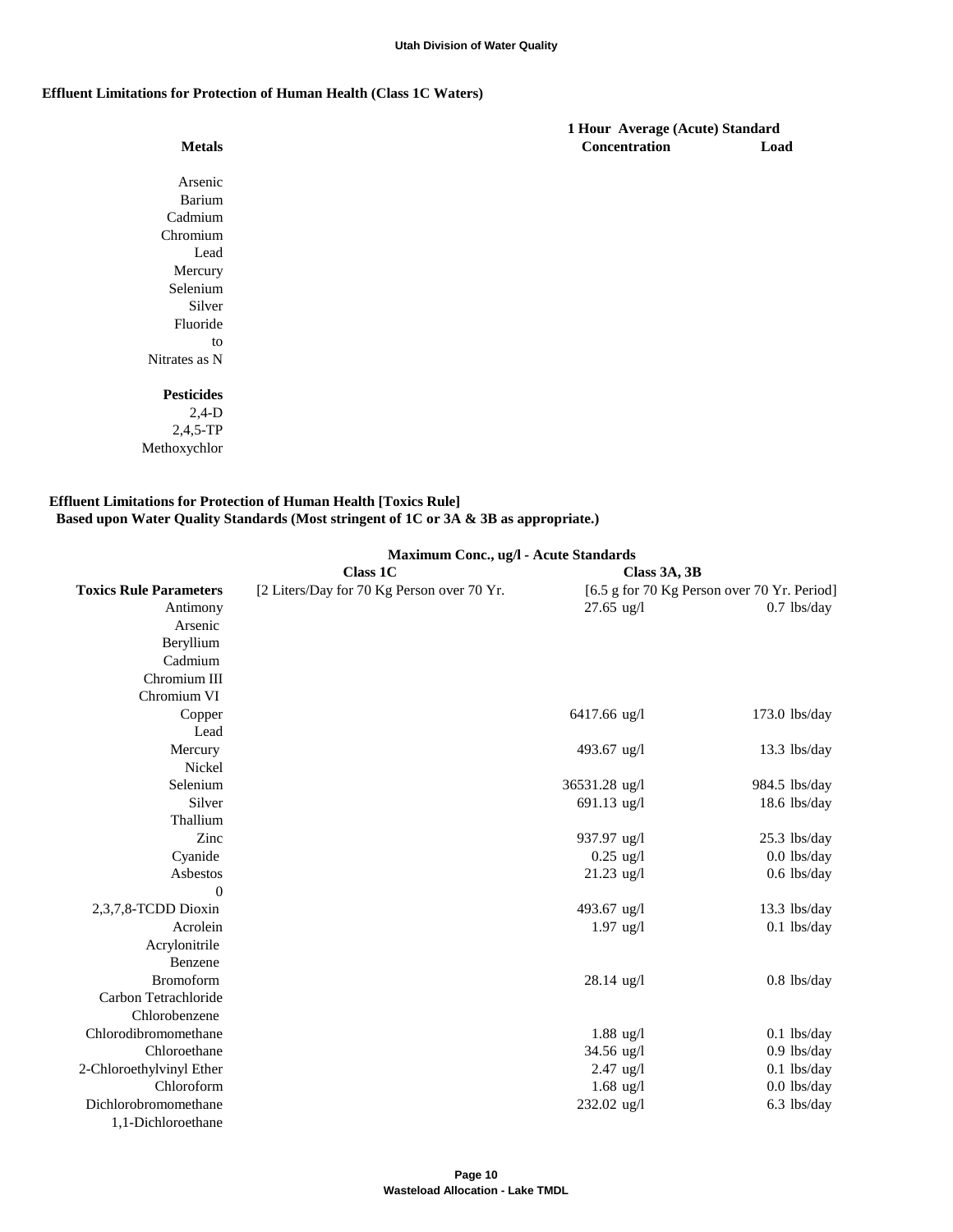#### **Effluent Limitations for Protection of Human Health (Class 1C Waters)**

Methoxychlor

| <b>Metals</b>     |
|-------------------|
|                   |
| Arsenic           |
| <b>Barium</b>     |
| Cadmium           |
| Chromium          |
| Lead              |
| Mercury           |
| Selenium          |
| Silver            |
| Fluoride          |
| to                |
| Nitrates as N     |
|                   |
| <b>Pesticides</b> |
| $2,4-D$           |
| $2,4,5$ -TP       |

## **Effluent Limitations for Protection of Human Health [Toxics Rule] Based upon Water Quality Standards (Most stringent of 1C or 3A & 3B as appropriate.)**

|                               | Maximum Conc., ug/l - Acute Standards      |                      |                                             |  |  |
|-------------------------------|--------------------------------------------|----------------------|---------------------------------------------|--|--|
|                               | <b>Class 1C</b>                            | Class 3A, 3B         |                                             |  |  |
| <b>Toxics Rule Parameters</b> | [2 Liters/Day for 70 Kg Person over 70 Yr. |                      | [6.5 g for 70 Kg Person over 70 Yr. Period] |  |  |
| Antimony                      |                                            | $27.65$ ug/l         | $0.7$ lbs/day                               |  |  |
| Arsenic                       |                                            |                      |                                             |  |  |
| Beryllium                     |                                            |                      |                                             |  |  |
| Cadmium                       |                                            |                      |                                             |  |  |
| Chromium III                  |                                            |                      |                                             |  |  |
| Chromium VI                   |                                            |                      |                                             |  |  |
| Copper                        |                                            | 6417.66 ug/l         | $173.0$ lbs/day                             |  |  |
| Lead                          |                                            |                      |                                             |  |  |
| Mercury                       |                                            | 493.67 ug/l          | $13.3$ lbs/day                              |  |  |
| Nickel                        |                                            |                      |                                             |  |  |
| Selenium                      |                                            | 36531.28 ug/l        | 984.5 lbs/day                               |  |  |
| Silver                        |                                            | $691.13$ ug/l        | $18.6$ lbs/day                              |  |  |
| Thallium                      |                                            |                      |                                             |  |  |
| Zinc                          |                                            | 937.97 ug/l          | 25.3 lbs/day                                |  |  |
| Cyanide                       |                                            | $0.25 \text{ ug}/1$  | $0.0$ lbs/day                               |  |  |
| Asbestos                      |                                            | $21.23$ ug/l         | $0.6$ lbs/day                               |  |  |
| $\theta$                      |                                            |                      |                                             |  |  |
| 2,3,7,8-TCDD Dioxin           |                                            | 493.67 ug/l          | 13.3 lbs/day                                |  |  |
| Acrolein                      |                                            | $1.97$ ug/l          | $0.1$ lbs/day                               |  |  |
| Acrylonitrile                 |                                            |                      |                                             |  |  |
| Benzene                       |                                            |                      |                                             |  |  |
| <b>Bromoform</b>              |                                            | $28.14 \text{ ug}/l$ | $0.8$ lbs/day                               |  |  |
| Carbon Tetrachloride          |                                            |                      |                                             |  |  |
| Chlorobenzene                 |                                            |                      |                                             |  |  |
| Chlorodibromomethane          |                                            | $1.88$ ug/l          | $0.1$ lbs/day                               |  |  |
| Chloroethane                  |                                            | 34.56 ug/l           | $0.9$ lbs/day                               |  |  |
| 2-Chloroethylvinyl Ether      |                                            | $2.47 \text{ ug}/l$  | $0.1$ lbs/day                               |  |  |
| Chloroform                    |                                            | $1.68 \text{ ug}/1$  | $0.0$ lbs/day                               |  |  |
| Dichlorobromomethane          |                                            | 232.02 ug/l          | $6.3$ lbs/day                               |  |  |
| 1,1-Dichloroethane            |                                            |                      |                                             |  |  |

 **1 Hour Average (Acute) Standard Metals Concentration Load**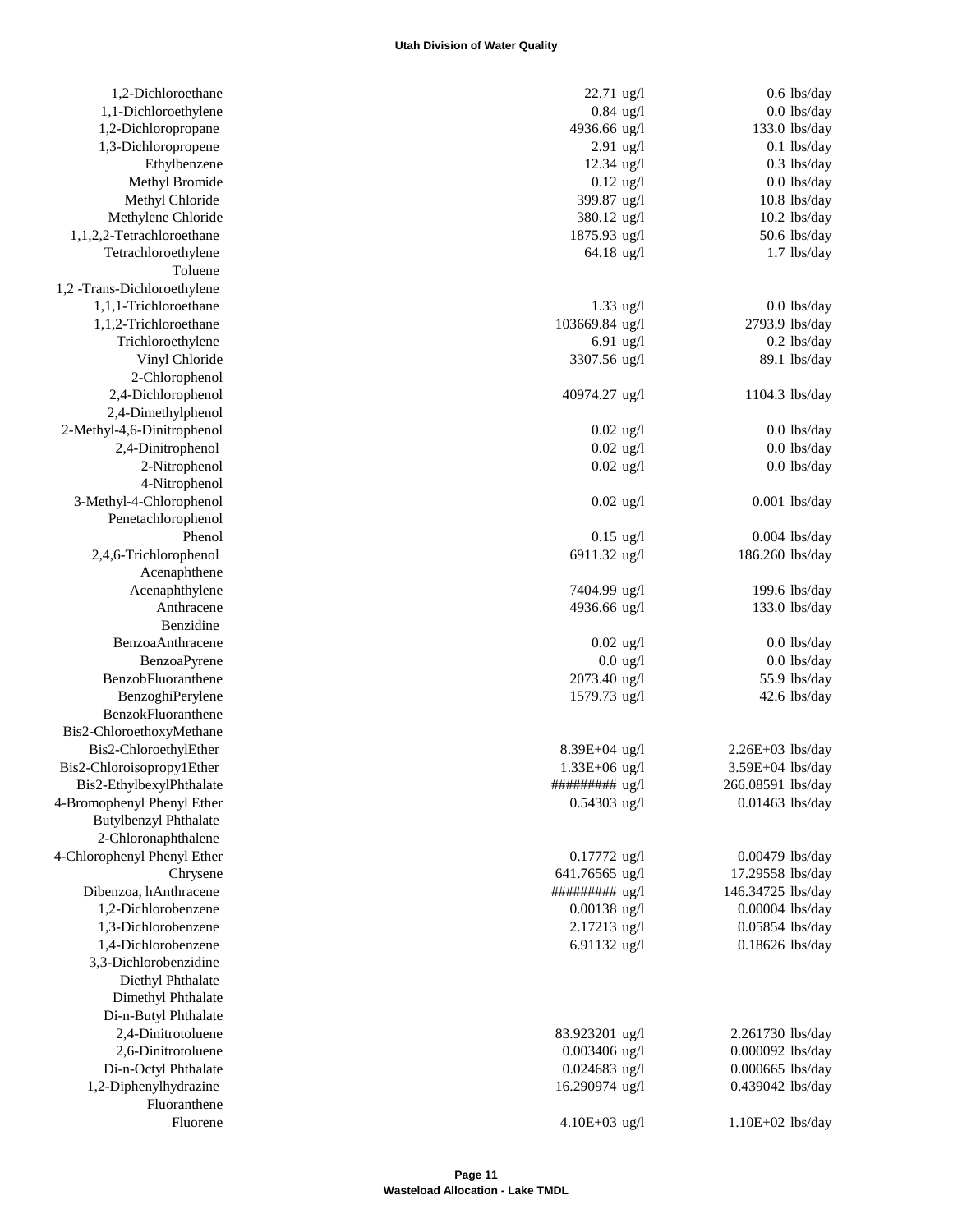| 1,2-Dichloroethane           | 22.71 ug/l                        | $0.6$ lbs/day                  |
|------------------------------|-----------------------------------|--------------------------------|
| 1,1-Dichloroethylene         | $0.84$ ug/l                       | $0.0$ lbs/day                  |
| 1,2-Dichloropropane          | 4936.66 ug/l                      | 133.0 lbs/day                  |
| 1,3-Dichloropropene          | $2.91$ ug/l                       | $0.1$ lbs/day                  |
| Ethylbenzene                 | $12.34$ ug/l                      | $0.3$ lbs/day                  |
| Methyl Bromide               | $0.12$ ug/l                       | $0.0$ lbs/day                  |
| Methyl Chloride              | 399.87 ug/l                       | 10.8 lbs/day                   |
| Methylene Chloride           | 380.12 ug/l                       | 10.2 lbs/day                   |
| 1,1,2,2-Tetrachloroethane    | 1875.93 ug/l                      | 50.6 lbs/day                   |
| Tetrachloroethylene          | 64.18 ug/l                        | $1.7$ lbs/day                  |
| Toluene                      |                                   |                                |
| 1,2 -Trans-Dichloroethylene  |                                   |                                |
| 1,1,1-Trichloroethane        | $1.33$ ug/l                       | $0.0$ lbs/day                  |
| 1,1,2-Trichloroethane        | 103669.84 ug/l                    | 2793.9 lbs/day                 |
| Trichloroethylene            | 6.91 $\mu$ g/l                    | $0.2$ lbs/day                  |
| Vinyl Chloride               | 3307.56 ug/l                      | 89.1 lbs/day                   |
| 2-Chlorophenol               |                                   |                                |
| 2,4-Dichlorophenol           | 40974.27 ug/l                     | 1104.3 lbs/day                 |
| 2,4-Dimethylphenol           |                                   |                                |
| 2-Methyl-4,6-Dinitrophenol   |                                   |                                |
|                              | $0.02$ ug/l                       | $0.0$ lbs/day<br>$0.0$ lbs/day |
| 2,4-Dinitrophenol            | $0.02$ ug/l                       |                                |
| 2-Nitrophenol                | $0.02$ ug/l                       | $0.0$ lbs/day                  |
| 4-Nitrophenol                |                                   |                                |
| 3-Methyl-4-Chlorophenol      | $0.02$ ug/l                       | $0.001$ lbs/day                |
| Penetachlorophenol           |                                   |                                |
| Phenol                       | $0.15$ ug/l                       | $0.004$ lbs/day                |
| 2,4,6-Trichlorophenol        | 6911.32 ug/l                      | 186.260 lbs/day                |
| Acenaphthene                 |                                   |                                |
| Acenaphthylene               | 7404.99 ug/l                      | 199.6 lbs/day                  |
| Anthracene                   | 4936.66 ug/l                      | 133.0 lbs/day                  |
| Benzidine                    |                                   |                                |
| BenzoaAnthracene             | $0.02$ ug/l                       | $0.0$ lbs/day                  |
| BenzoaPyrene                 | $0.0 \text{ ug}/l$                | $0.0$ lbs/day                  |
| BenzobFluoranthene           | 2073.40 ug/l                      | 55.9 lbs/day                   |
| BenzoghiPerylene             | 1579.73 ug/l                      | 42.6 lbs/day                   |
| BenzokFluoranthene           |                                   |                                |
| Bis2-ChloroethoxyMethane     |                                   |                                |
| Bis2-ChloroethylEther        | $8.39E + 04$ ug/l                 | $2.26E+03$ lbs/day             |
| Bis2-Chloroisopropy1Ether    | $1.33E + 06$ ug/l                 | 3.59E+04 lbs/day               |
| Bis2-EthylbexylPhthalate     | $\#$ ######### ug/l               | 266.08591 lbs/day              |
| 4-Bromophenyl Phenyl Ether   | $0.54303$ ug/l                    | 0.01463 lbs/day                |
| <b>Butylbenzyl Phthalate</b> |                                   |                                |
| 2-Chloronaphthalene          |                                   |                                |
| 4-Chlorophenyl Phenyl Ether  | $0.17772$ ug/l                    | 0.00479 lbs/day                |
| Chrysene                     | 641.76565 ug/l                    | 17.29558 lbs/day               |
| Dibenzoa, hAnthracene        | ########## ug/l                   | 146.34725 lbs/day              |
| 1,2-Dichlorobenzene          | $0.00138$ ug/l                    | 0.00004 lbs/day                |
| 1,3-Dichlorobenzene          | 2.17213 ug/l                      | 0.05854 lbs/day                |
| 1,4-Dichlorobenzene          | 6.91132 ug/l                      | $0.18626$ lbs/day              |
| 3,3-Dichlorobenzidine        |                                   |                                |
| Diethyl Phthalate            |                                   |                                |
| Dimethyl Phthalate           |                                   |                                |
| Di-n-Butyl Phthalate         |                                   |                                |
| 2,4-Dinitrotoluene           |                                   |                                |
| 2,6-Dinitrotoluene           | 83.923201 ug/l<br>$0.003406$ ug/l | 2.261730 lbs/day               |
|                              |                                   | $0.000092$ lbs/day             |
| Di-n-Octyl Phthalate         | $0.024683$ ug/l                   | 0.000665 lbs/day               |
| 1,2-Diphenylhydrazine        | 16.290974 ug/l                    | 0.439042 lbs/day               |
| Fluoranthene                 |                                   |                                |
| Fluorene                     | 4.10E+03 $\mu$ g/l                | $1.10E+02$ lbs/day             |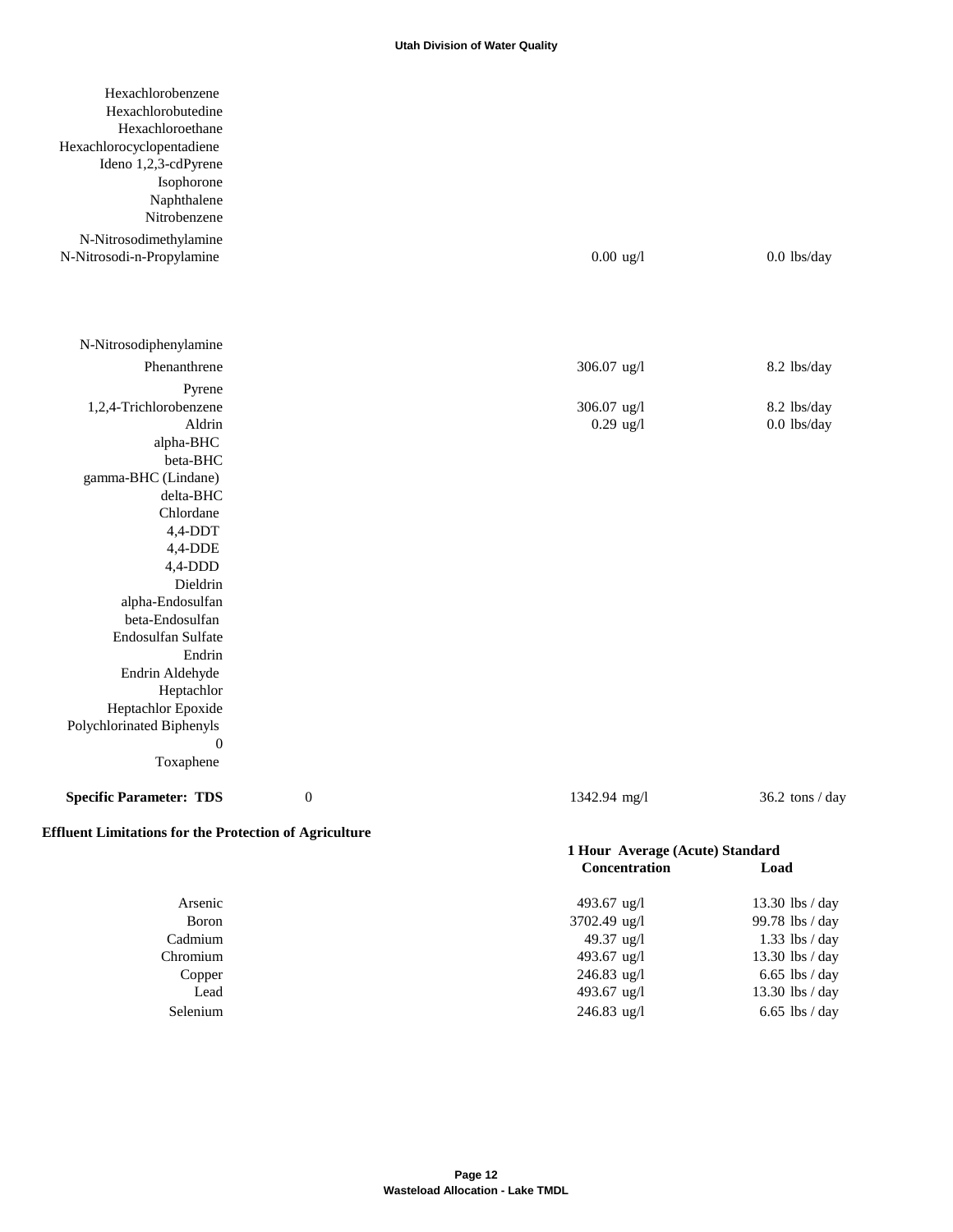| Hexachlorobenzene                                             |                  |                            |                                 |  |
|---------------------------------------------------------------|------------------|----------------------------|---------------------------------|--|
| Hexachlorobutedine                                            |                  |                            |                                 |  |
| Hexachloroethane                                              |                  |                            |                                 |  |
| Hexachlorocyclopentadiene                                     |                  |                            |                                 |  |
| Ideno 1,2,3-cdPyrene                                          |                  |                            |                                 |  |
| Isophorone                                                    |                  |                            |                                 |  |
| Naphthalene<br>Nitrobenzene                                   |                  |                            |                                 |  |
|                                                               |                  |                            |                                 |  |
| N-Nitrosodimethylamine                                        |                  |                            |                                 |  |
| N-Nitrosodi-n-Propylamine                                     |                  | $0.00$ ug/l                | $0.0$ lbs/day                   |  |
| N-Nitrosodiphenylamine                                        |                  |                            |                                 |  |
| Phenanthrene                                                  |                  | 306.07 ug/l                | 8.2 lbs/day                     |  |
|                                                               |                  |                            |                                 |  |
| Pyrene                                                        |                  |                            |                                 |  |
| 1,2,4-Trichlorobenzene<br>Aldrin                              |                  | 306.07 ug/l<br>$0.29$ ug/l | 8.2 lbs/day<br>$0.0$ lbs/day    |  |
| alpha-BHC                                                     |                  |                            |                                 |  |
| beta-BHC                                                      |                  |                            |                                 |  |
| gamma-BHC (Lindane)                                           |                  |                            |                                 |  |
| delta-BHC                                                     |                  |                            |                                 |  |
| Chlordane                                                     |                  |                            |                                 |  |
| $4,4$ -DDT                                                    |                  |                            |                                 |  |
| 4,4-DDE                                                       |                  |                            |                                 |  |
| $4,4$ -DDD                                                    |                  |                            |                                 |  |
| Dieldrin                                                      |                  |                            |                                 |  |
| alpha-Endosulfan                                              |                  |                            |                                 |  |
| beta-Endosulfan<br>Endosulfan Sulfate                         |                  |                            |                                 |  |
| Endrin                                                        |                  |                            |                                 |  |
| Endrin Aldehyde                                               |                  |                            |                                 |  |
| Heptachlor                                                    |                  |                            |                                 |  |
| Heptachlor Epoxide                                            |                  |                            |                                 |  |
| Polychlorinated Biphenyls                                     |                  |                            |                                 |  |
| $\theta$                                                      |                  |                            |                                 |  |
| Toxaphene                                                     |                  |                            |                                 |  |
| <b>Specific Parameter: TDS</b>                                | $\boldsymbol{0}$ | 1342.94 mg/l               | 36.2 tons / day                 |  |
| <b>Effluent Limitations for the Protection of Agriculture</b> |                  |                            |                                 |  |
|                                                               |                  |                            | 1 Hour Average (Acute) Standard |  |
|                                                               |                  | Concentration              | Load                            |  |
| Arsenic                                                       |                  | 493.67 ug/l                | 13.30 lbs / day                 |  |
| Boron                                                         |                  | 3702.49 ug/l               | 99.78 lbs / day                 |  |
| Cadmium                                                       |                  | 49.37 ug/l                 | $1.33$ lbs / day                |  |
| Chromium                                                      |                  | 493.67 ug/l                | 13.30 lbs / day                 |  |
| Copper                                                        |                  | 246.83 ug/l                | $6.65$ lbs / day                |  |
| Lead                                                          |                  | 493.67 ug/l                | 13.30 lbs / day                 |  |
| Selenium                                                      |                  | 246.83 ug/l                | $6.65$ lbs / day                |  |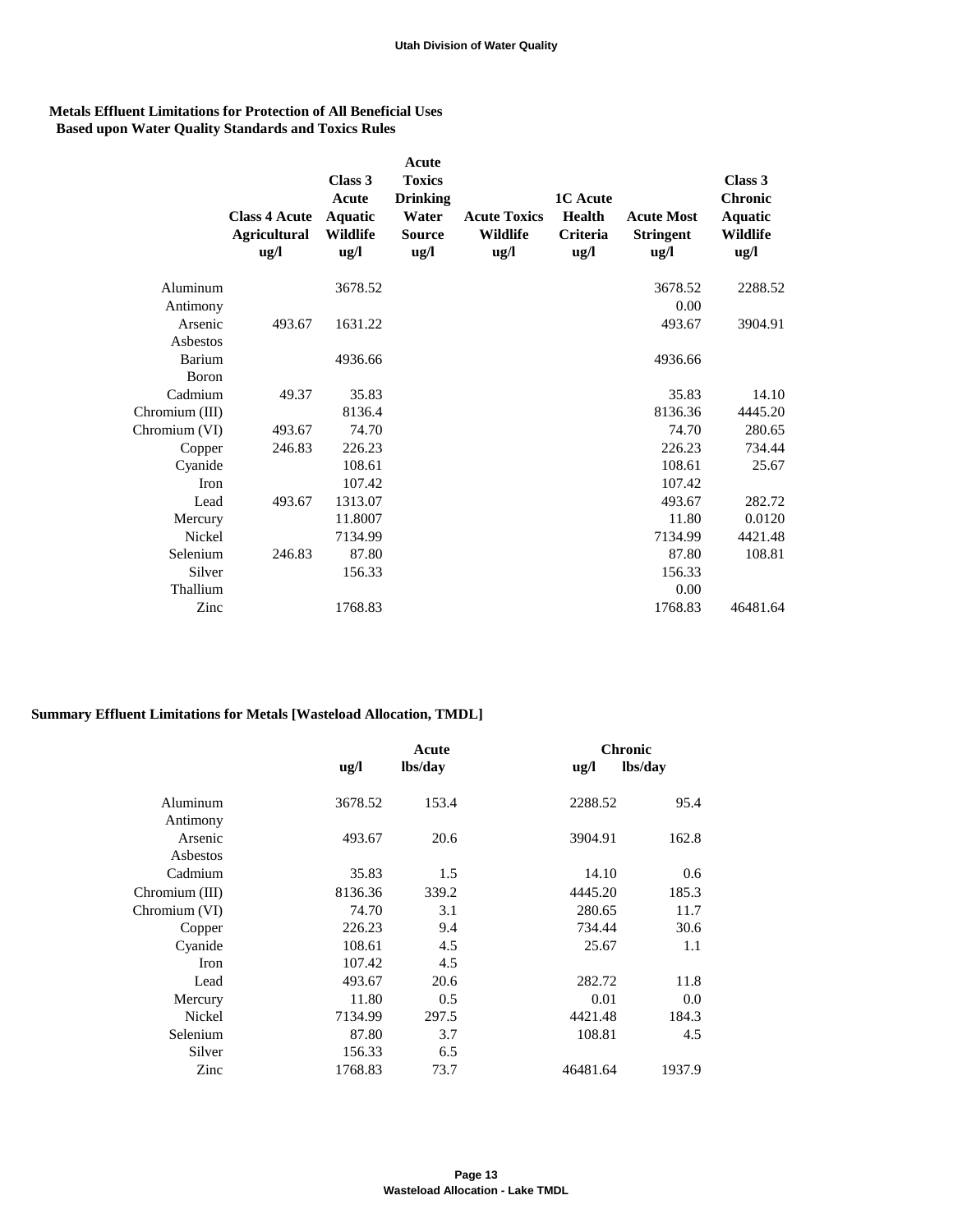## **Metals Effluent Limitations for Protection of All Beneficial Uses Based upon Water Quality Standards and Toxics Rules**

|                | <b>Class 4 Acute</b><br><b>Agricultural</b><br>$\text{ug}/\text{l}$ | Class 3<br>Acute<br>Aquatic<br>Wildlife<br>$\frac{u}{g}$ | Acute<br><b>Toxics</b><br><b>Drinking</b><br>Water<br><b>Source</b><br>$\frac{u}{g}$ | <b>Acute Toxics</b><br><b>Wildlife</b><br>$\mathbf{u} \mathbf{g}/\mathbf{l}$ | <b>1C</b> Acute<br><b>Health</b><br><b>Criteria</b><br>$\mathbf{u}\mathbf{g}/\mathbf{l}$ | <b>Acute Most</b><br><b>Stringent</b><br>$\mathbf{u} \mathbf{g}/\mathbf{l}$ | Class 3<br><b>Chronic</b><br><b>Aquatic</b><br>Wildlife<br>$\frac{u}{g}$ |
|----------------|---------------------------------------------------------------------|----------------------------------------------------------|--------------------------------------------------------------------------------------|------------------------------------------------------------------------------|------------------------------------------------------------------------------------------|-----------------------------------------------------------------------------|--------------------------------------------------------------------------|
| Aluminum       |                                                                     | 3678.52                                                  |                                                                                      |                                                                              |                                                                                          | 3678.52                                                                     | 2288.52                                                                  |
| Antimony       |                                                                     |                                                          |                                                                                      |                                                                              |                                                                                          | 0.00                                                                        |                                                                          |
| Arsenic        | 493.67                                                              | 1631.22                                                  |                                                                                      |                                                                              |                                                                                          | 493.67                                                                      | 3904.91                                                                  |
| Asbestos       |                                                                     |                                                          |                                                                                      |                                                                              |                                                                                          |                                                                             |                                                                          |
| Barium         |                                                                     | 4936.66                                                  |                                                                                      |                                                                              |                                                                                          | 4936.66                                                                     |                                                                          |
| Boron          |                                                                     |                                                          |                                                                                      |                                                                              |                                                                                          |                                                                             |                                                                          |
| Cadmium        | 49.37                                                               | 35.83                                                    |                                                                                      |                                                                              |                                                                                          | 35.83                                                                       | 14.10                                                                    |
| Chromium (III) |                                                                     | 8136.4                                                   |                                                                                      |                                                                              |                                                                                          | 8136.36                                                                     | 4445.20                                                                  |
| Chromium (VI)  | 493.67                                                              | 74.70                                                    |                                                                                      |                                                                              |                                                                                          | 74.70                                                                       | 280.65                                                                   |
| Copper         | 246.83                                                              | 226.23                                                   |                                                                                      |                                                                              |                                                                                          | 226.23                                                                      | 734.44                                                                   |
| Cyanide        |                                                                     | 108.61                                                   |                                                                                      |                                                                              |                                                                                          | 108.61                                                                      | 25.67                                                                    |
| Iron           |                                                                     | 107.42                                                   |                                                                                      |                                                                              |                                                                                          | 107.42                                                                      |                                                                          |
| Lead           | 493.67                                                              | 1313.07                                                  |                                                                                      |                                                                              |                                                                                          | 493.67                                                                      | 282.72                                                                   |
| Mercury        |                                                                     | 11.8007                                                  |                                                                                      |                                                                              |                                                                                          | 11.80                                                                       | 0.0120                                                                   |
| Nickel         |                                                                     | 7134.99                                                  |                                                                                      |                                                                              |                                                                                          | 7134.99                                                                     | 4421.48                                                                  |
| Selenium       | 246.83                                                              | 87.80                                                    |                                                                                      |                                                                              |                                                                                          | 87.80                                                                       | 108.81                                                                   |
| Silver         |                                                                     | 156.33                                                   |                                                                                      |                                                                              |                                                                                          | 156.33                                                                      |                                                                          |
| Thallium       |                                                                     |                                                          |                                                                                      |                                                                              |                                                                                          | 0.00                                                                        |                                                                          |
| Zinc           |                                                                     | 1768.83                                                  |                                                                                      |                                                                              |                                                                                          | 1768.83                                                                     | 46481.64                                                                 |

# **Summary Effluent Limitations for Metals [Wasteload Allocation, TMDL]**

|                |                                   | Acute   |                                   | <b>Chronic</b> |  |  |
|----------------|-----------------------------------|---------|-----------------------------------|----------------|--|--|
|                | $\mathbf{u}\mathbf{g}/\mathbf{l}$ | lbs/day | $\mathbf{u}\mathbf{g}/\mathbf{l}$ | lbs/day        |  |  |
|                |                                   |         |                                   |                |  |  |
| Aluminum       | 3678.52                           | 153.4   | 2288.52                           | 95.4           |  |  |
| Antimony       |                                   |         |                                   |                |  |  |
| Arsenic        | 493.67                            | 20.6    | 3904.91                           | 162.8          |  |  |
| Asbestos       |                                   |         |                                   |                |  |  |
| Cadmium        | 35.83                             | 1.5     | 14.10                             | 0.6            |  |  |
| Chromium (III) | 8136.36                           | 339.2   | 4445.20                           | 185.3          |  |  |
| Chromium (VI)  | 74.70                             | 3.1     | 280.65                            | 11.7           |  |  |
| Copper         | 226.23                            | 9.4     | 734.44                            | 30.6           |  |  |
| Cyanide        | 108.61                            | 4.5     | 25.67                             | 1.1            |  |  |
| <b>Iron</b>    | 107.42                            | 4.5     |                                   |                |  |  |
| Lead           | 493.67                            | 20.6    | 282.72                            | 11.8           |  |  |
| Mercury        | 11.80                             | 0.5     | 0.01                              | 0.0            |  |  |
| Nickel         | 7134.99                           | 297.5   | 4421.48                           | 184.3          |  |  |
| Selenium       | 87.80                             | 3.7     | 108.81                            | 4.5            |  |  |
| Silver         | 156.33                            | 6.5     |                                   |                |  |  |
| Zinc           | 1768.83                           | 73.7    | 46481.64                          | 1937.9         |  |  |
|                |                                   |         |                                   |                |  |  |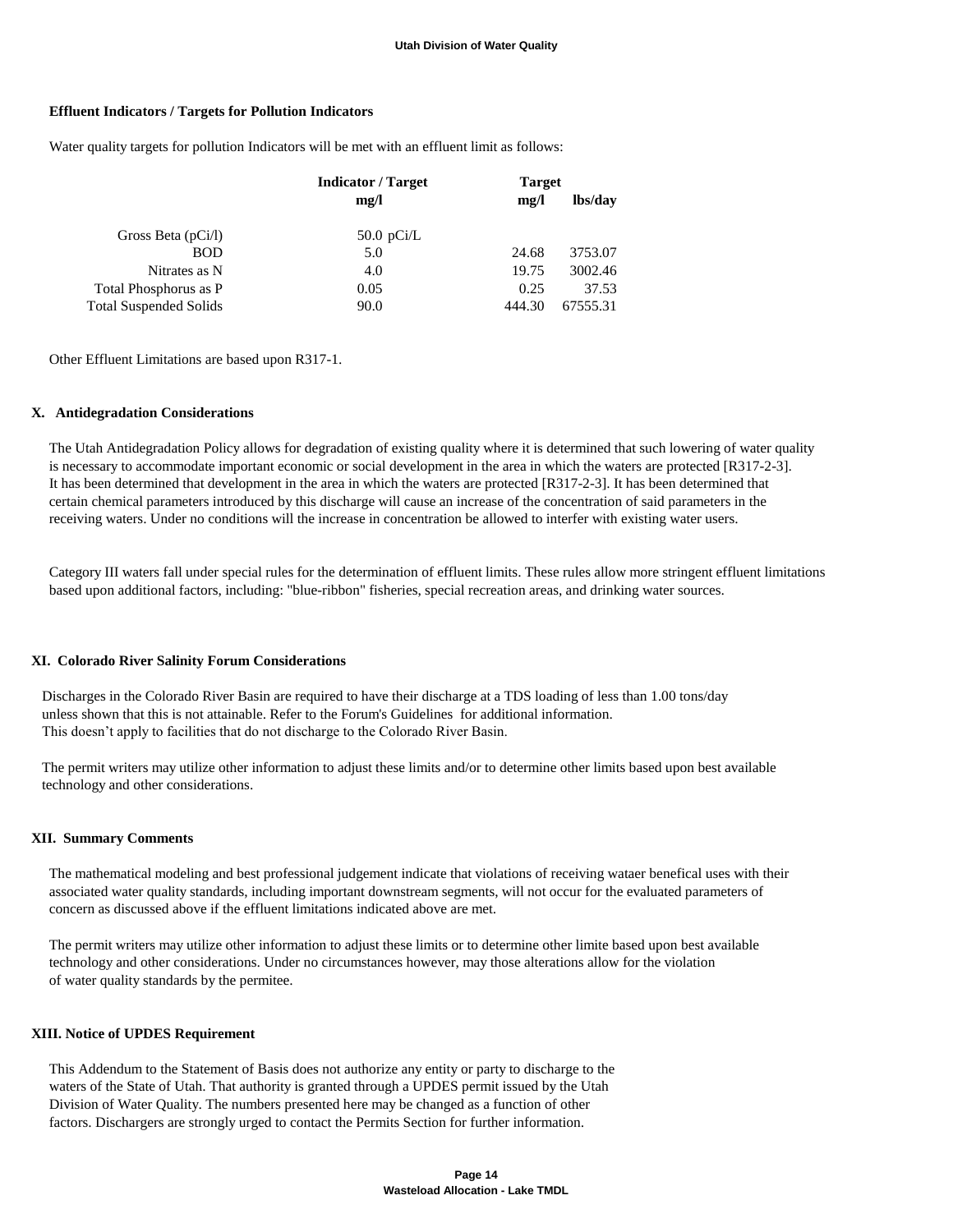#### **Effluent Indicators / Targets for Pollution Indicators**

Water quality targets for pollution Indicators will be met with an effluent limit as follows:

| <b>Indicator</b> / Target | <b>Target</b> |          |  |
|---------------------------|---------------|----------|--|
| mg/l                      | mg/l          | lbs/day  |  |
| 50.0 $pCi/L$              |               |          |  |
| 5.0                       | 24.68         | 3753.07  |  |
| 4.0                       | 19.75         | 3002.46  |  |
| 0.05                      | 0.25          | 37.53    |  |
| 90.0                      | 444.30        | 67555.31 |  |
|                           |               |          |  |

Other Effluent Limitations are based upon R317-1.

#### **X. Antidegradation Considerations**

 The Utah Antidegradation Policy allows for degradation of existing quality where it is determined that such lowering of water quality is necessary to accommodate important economic or social development in the area in which the waters are protected [R317-2-3]. It has been determined that development in the area in which the waters are protected [R317-2-3]. It has been determined that certain chemical parameters introduced by this discharge will cause an increase of the concentration of said parameters in the receiving waters. Under no conditions will the increase in concentration be allowed to interfer with existing water users.

 Category III waters fall under special rules for the determination of effluent limits. These rules allow more stringent effluent limitations based upon additional factors, including: "blue-ribbon" fisheries, special recreation areas, and drinking water sources.

#### **XI. Colorado River Salinity Forum Considerations**

 Discharges in the Colorado River Basin are required to have their discharge at a TDS loading of less than 1.00 tons/day unless shown that this is not attainable. Refer to the Forum's Guidelines for additional information. This doesn't apply to facilities that do not discharge to the Colorado River Basin.

 The permit writers may utilize other information to adjust these limits and/or to determine other limits based upon best available technology and other considerations.

#### **XII. Summary Comments**

 The mathematical modeling and best professional judgement indicate that violations of receiving wataer benefical uses with their associated water quality standards, including important downstream segments, will not occur for the evaluated parameters of concern as discussed above if the effluent limitations indicated above are met.

 The permit writers may utilize other information to adjust these limits or to determine other limite based upon best available technology and other considerations. Under no circumstances however, may those alterations allow for the violation of water quality standards by the permitee.

#### **XIII. Notice of UPDES Requirement**

 This Addendum to the Statement of Basis does not authorize any entity or party to discharge to the waters of the State of Utah. That authority is granted through a UPDES permit issued by the Utah Division of Water Quality. The numbers presented here may be changed as a function of other factors. Dischargers are strongly urged to contact the Permits Section for further information.